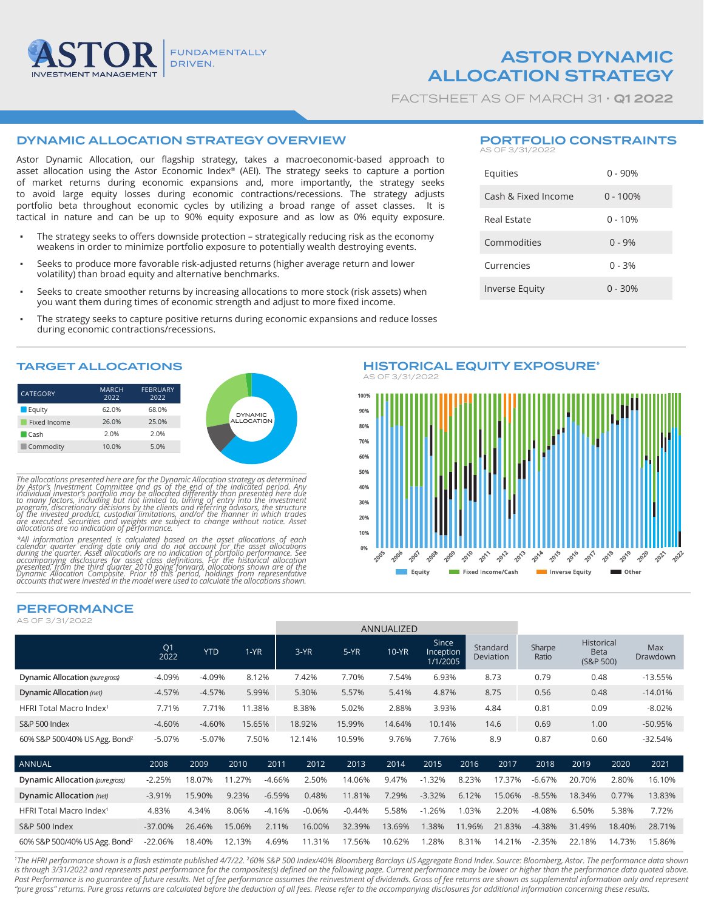

ASTOR DYNAMIC ALLOCATION STRATEGY

FACTSHEET AS OF MARCH 31 · **Q1 2022** 

# DYNAMIC ALLOCATION STRATEGY OVERVIEW

Astor Dynamic Allocation, our flagship strategy, takes a macroeconomic-based approach to asset allocation using the Astor Economic Index® (AEI). The strategy seeks to capture a portion of market returns during economic expansions and, more importantly, the strategy seeks to avoid large equity losses during economic contractions/recessions. The strategy adjusts portfolio beta throughout economic cycles by utilizing a broad range of asset classes. It is tactical in nature and can be up to 90% equity exposure and as low as 0% equity exposure.

- The strategy seeks to offers downside protection strategically reducing risk as the economy weakens in order to minimize portfolio exposure to potentially wealth destroying events.
- Seeks to produce more favorable risk-adjusted returns (higher average return and lower volatility) than broad equity and alternative benchmarks.
- Seeks to create smoother returns by increasing allocations to more stock (risk assets) when you want them during times of economic strength and adjust to more fixed income.
- The strategy seeks to capture positive returns during economic expansions and reduce losses during economic contractions/recessions.

### TARGET ALLOCATIONS

| <b>CATEGORY</b>     | <b>MARCH</b><br>2022 | <b>FEBRUARY</b><br>2022 |
|---------------------|----------------------|-------------------------|
| Equity              | 62.0%                | 68.0%                   |
| Fixed Income        | 26.0%                | 25.0%                   |
| $\blacksquare$ Cash | 2.0%                 | 2.0%                    |
| Commodity           | 10.0%                | 5.0%                    |

The allocations presented here are for the Dynamic Allocation strategy as determined<br>by Astor's Investment Committee and as of the end of the indicated period. Any<br>individual investor's portfolio may be allocated different

\*All information presented is calculated based on the asset allocations of each<br>calendar quarter ending date only and do not account for the asset allocations<br>during the quarter. Asset allocations are no indication of port

PORTFOLIO CONSTRAINTS AS OF 3/31/2022

| Equities              | $0 - 90%$  |
|-----------------------|------------|
| Cash & Fixed Income   | $0 - 100%$ |
| Real Estate           | $0 - 10%$  |
| Commodities           | $0 - 9%$   |
| Currencies            | $0 - 3%$   |
| <b>Inverse Equity</b> | $0 - 30%$  |



## PERFORMANCE

AS OF 3/31/2022

|                                           |                        |            |        |          | <b>AININUALIZED</b> |          |         |                                |        |                       |                 |                                        |        |                 |
|-------------------------------------------|------------------------|------------|--------|----------|---------------------|----------|---------|--------------------------------|--------|-----------------------|-----------------|----------------------------------------|--------|-----------------|
|                                           | Q <sub>1</sub><br>2022 | <b>YTD</b> | $1-YR$ |          | $3-YR$              | $5-YR$   | $10-YR$ | Since<br>Inception<br>1/1/2005 |        | Standard<br>Deviation | Sharpe<br>Ratio | Historical<br><b>Beta</b><br>(S&P 500) |        | Max<br>Drawdown |
| Dynamic Allocation (pure gross)           | $-4.09%$               | $-4.09%$   |        | 8.12%    | 7.42%               | 7.70%    | 7.54%   | 6.93%                          |        | 8.73                  | 0.79            | 0.48                                   |        | $-13.55%$       |
| Dynamic Allocation (net)                  | $-4.57%$               | $-4.57%$   |        | 5.99%    | 5.30%               | 5.57%    | 5.41%   | 4.87%                          |        | 8.75                  | 0.56            | 0.48                                   |        | $-14.01%$       |
| HFRI Total Macro Index <sup>1</sup>       | 7.71%                  | 7.71%      | 11.38% |          | 8.38%               | 5.02%    | 2.88%   | 3.93%                          |        | 4.84                  | 0.81            | 0.09                                   |        | $-8.02%$        |
| S&P 500 Index                             | $-4.60%$               | $-4.60%$   | 15.65% |          | 18.92%              | 15.99%   | 14.64%  | 10.14%                         |        | 14.6                  | 0.69            | 1.00                                   |        | -50.95%         |
| 60% S&P 500/40% US Agg. Bond <sup>2</sup> | $-5.07%$               | $-5.07%$   |        | 7.50%    | 12.14%              | 10.59%   | 9.76%   | 7.76%                          |        | 8.9                   | 0.87            | 0.60                                   |        | $-32.54%$       |
| ANNUAL                                    | 2008                   | 2009       | 2010   | 2011     | 2012                | 2013     | 2014    | 2015                           | 2016   | 2017                  | 2018            | 2019                                   | 2020   | 2021            |
| Dynamic Allocation (pure gross)           | $-2.25%$               | 18.07%     | 11.27% | $-4.66%$ | 2.50%               | 14.06%   | 9.47%   | $-1.32%$                       | 8.23%  | 17.37%                | $-6.67%$        | 20.70%                                 | 2.80%  | 16.10%          |
| Dynamic Allocation (net)                  | $-3.91%$               | 15.90%     | 9.23%  | $-6.59%$ | 0.48%               | 11.81%   | 7.29%   | $-3.32%$                       | 6.12%  | 15.06%                | $-8.55%$        | 18.34%                                 | 0.77%  | 13.83%          |
| HFRI Total Macro Index <sup>1</sup>       | 4.83%                  | 4.34%      | 8.06%  | $-4.16%$ | $-0.06%$            | $-0.44%$ | 5.58%   | $-1.26%$                       | 1.03%  | 2.20%                 | $-4.08%$        | 6.50%                                  | 5.38%  | 7.72%           |
| <b>S&amp;P 500 Index</b>                  | $-37.00%$              | 26.46%     | 15.06% | 2.11%    | 16.00%              | 32.39%   | 13.69%  | 1.38%                          | 11.96% | 21.83%                | $-4.38%$        | 31.49%                                 | 18.40% | 28.71%          |
| 60% S&P 500/40% US Agg. Bond <sup>2</sup> | $-22.06%$              | 18.40%     | 12.13% | 4.69%    | 11.31%              | 17.56%   | 10.62%  | 1.28%                          | 8.31%  | 14.21%                | $-2.35%$        | 22.18%                                 | 14.73% | 15.86%          |

ANNUALIZED

*1 The HFRI performance shown is a flash estimate published 4/7/22.* <sup>2</sup>*60% S&P 500 Index/40% Bloomberg Barclays US Aggregate Bond Index. Source: Bloomberg, Astor. The performance data shown*  is through 3/31/2022 and represents past performance for the composites(s) defined on the following page. Current performance may be lower or higher than the performance data quoted above. Past Performance is no guarantee of future results. Net of fee performance assumes the reinvestment of dividends. Gross of fee returns are shown as supplemental information only and represent *"pure gross" returns. Pure gross returns are calculated before the deduction of all fees. Please refer to the accompanying disclosures for additional information concerning these results.*